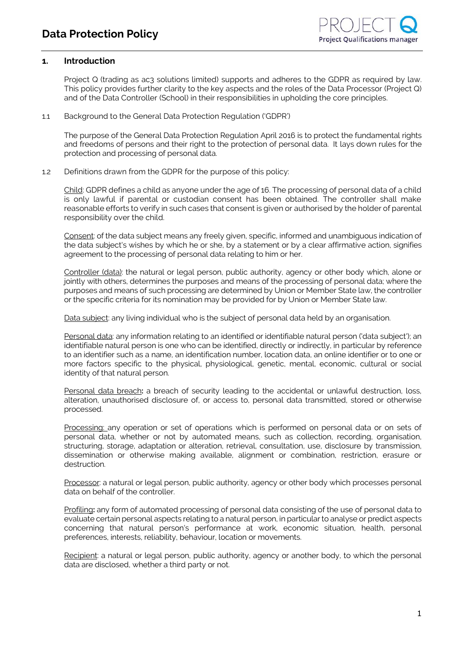## **1. Introduction**

Project Q (trading as ac3 solutions limited) supports and adheres to the GDPR as required by law. This policy provides further clarity to the key aspects and the roles of the Data Processor (Project Q) and of the Data Controller (School) in their responsibilities in upholding the core principles.

1.1 Background to the General Data Protection Regulation ('GDPR')

The purpose of the General Data Protection Regulation April 2016 is to protect the fundamental rights and freedoms of persons and their right to the protection of personal data. It lays down rules for the protection and processing of personal data.

1.2 Definitions drawn from the GDPR for the purpose of this policy:

Child: GDPR defines a child as anyone under the age of 16. The processing of personal data of a child is only lawful if parental or custodian consent has been obtained. The controller shall make reasonable efforts to verify in such cases that consent is given or authorised by the holder of parental responsibility over the child.

Consent: of the data subject means any freely given, specific, informed and unambiguous indication of the data subject's wishes by which he or she, by a statement or by a clear affirmative action, signifies agreement to the processing of personal data relating to him or her.

Controller (data): the natural or legal person, public authority, agency or other body which, alone or jointly with others, determines the purposes and means of the processing of personal data; where the purposes and means of such processing are determined by Union or Member State law, the controller or the specific criteria for its nomination may be provided for by Union or Member State law.

Data subject: any living individual who is the subject of personal data held by an organisation.

Personal data: any information relating to an identified or identifiable natural person ('data subject'); an identifiable natural person is one who can be identified, directly or indirectly, in particular by reference to an identifier such as a name, an identification number, location data, an online identifier or to one or more factors specific to the physical, physiological, genetic, mental, economic, cultural or social identity of that natural person.

Personal data breach**:** a breach of security leading to the accidental or unlawful destruction, loss, alteration, unauthorised disclosure of, or access to, personal data transmitted, stored or otherwise processed.

Processing: any operation or set of operations which is performed on personal data or on sets of personal data, whether or not by automated means, such as collection, recording, organisation, structuring, storage, adaptation or alteration, retrieval, consultation, use, disclosure by transmission, dissemination or otherwise making available, alignment or combination, restriction, erasure or destruction.

Processor: a natural or legal person, public authority, agency or other body which processes personal data on behalf of the controller.

Profiling**:** any form of automated processing of personal data consisting of the use of personal data to evaluate certain personal aspects relating to a natural person, in particular to analyse or predict aspects concerning that natural person's performance at work, economic situation, health, personal preferences, interests, reliability, behaviour, location or movements.

Recipient: a natural or legal person, public authority, agency or another body, to which the personal data are disclosed, whether a third party or not.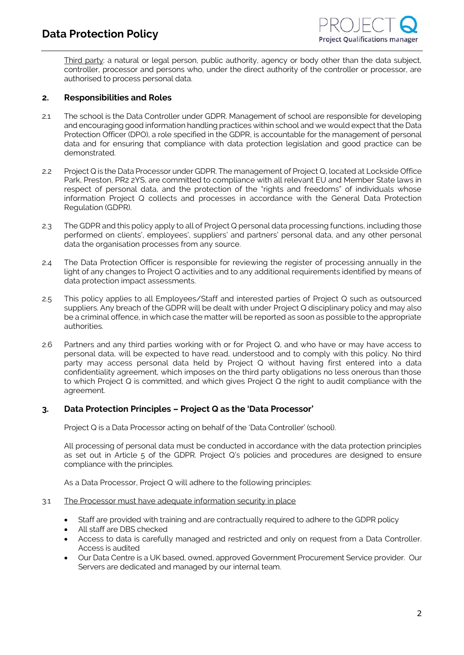Third party: a natural or legal person, public authority, agency or body other than the data subject, controller, processor and persons who, under the direct authority of the controller or processor, are authorised to process personal data.

## **2. Responsibilities and Roles**

- 2.1 The school is the Data Controller under GDPR. Management of school are responsible for developing and encouraging good information handling practices within school and we would expect that the Data Protection Officer (DPO), a role specified in the GDPR, is accountable for the management of personal data and for ensuring that compliance with data protection legislation and good practice can be demonstrated.
- 2.2 Project Q is the Data Processor under GDPR. The management of Project Q, located at Lockside Office Park, Preston, PR2 2YS, are committed to compliance with all relevant EU and Member State laws in respect of personal data, and the protection of the "rights and freedoms" of individuals whose information Project Q collects and processes in accordance with the General Data Protection Regulation (GDPR).
- 2.3 The GDPR and this policy apply to all of Project Q personal data processing functions, including those performed on clients', employees', suppliers' and partners' personal data, and any other personal data the organisation processes from any source.
- 2.4 The Data Protection Officer is responsible for reviewing the register of processing annually in the light of any changes to Project Q activities and to any additional requirements identified by means of data protection impact assessments.
- 2.5 This policy applies to all Employees/Staff and interested parties of Project Q such as outsourced suppliers. Any breach of the GDPR will be dealt with under Project Q disciplinary policy and may also be a criminal offence, in which case the matter will be reported as soon as possible to the appropriate authorities.
- 2.6 Partners and any third parties working with or for Project Q, and who have or may have access to personal data, will be expected to have read, understood and to comply with this policy. No third party may access personal data held by Project Q without having first entered into a data confidentiality agreement, which imposes on the third party obligations no less onerous than those to which Project Q is committed, and which gives Project Q the right to audit compliance with the agreement.

# **3. Data Protection Principles – Project Q as the 'Data Processor'**

Project Q is a Data Processor acting on behalf of the 'Data Controller' (school).

All processing of personal data must be conducted in accordance with the data protection principles as set out in Article 5 of the GDPR. Project Q's policies and procedures are designed to ensure compliance with the principles.

As a Data Processor, Project Q will adhere to the following principles:

#### 3.1 The Processor must have adequate information security in place

- Staff are provided with training and are contractually required to adhere to the GDPR policy
- All staff are DBS checked
- Access to data is carefully managed and restricted and only on request from a Data Controller. Access is audited
- Our Data Centre is a UK based, owned, approved Government Procurement Service provider. Our Servers are dedicated and managed by our internal team.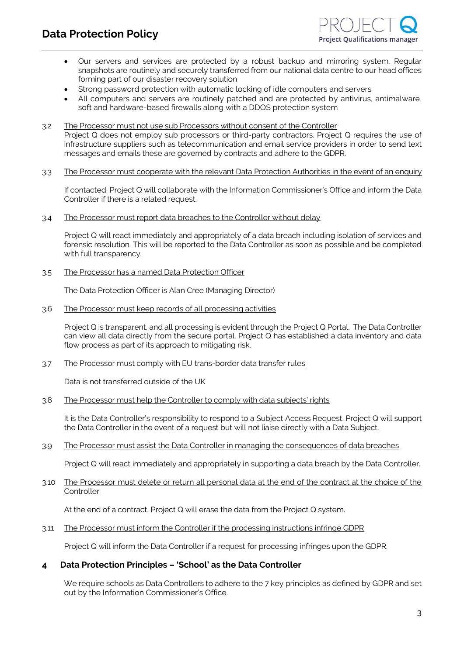

- Our servers and services are protected by a robust backup and mirroring system. Regular snapshots are routinely and securely transferred from our national data centre to our head offices forming part of our disaster recovery solution
- Strong password protection with automatic locking of idle computers and servers
- All computers and servers are routinely patched and are protected by antivirus, antimalware, soft and hardware-based firewalls along with a DDOS protection system
- 3.2 The Processor must not use sub Processors without consent of the Controller Project Q does not employ sub processors or third-party contractors. Project Q requires the use of infrastructure suppliers such as telecommunication and email service providers in order to send text messages and emails these are governed by contracts and adhere to the GDPR.
- 3.3 The Processor must cooperate with the relevant Data Protection Authorities in the event of an enquiry

If contacted, Project Q will collaborate with the Information Commissioner's Office and inform the Data Controller if there is a related request.

3.4 The Processor must report data breaches to the Controller without delay

Project Q will react immediately and appropriately of a data breach including isolation of services and forensic resolution. This will be reported to the Data Controller as soon as possible and be completed with full transparency.

3.5 The Processor has a named Data Protection Officer

The Data Protection Officer is Alan Cree (Managing Director)

3.6 The Processor must keep records of all processing activities

Project Q is transparent, and all processing is evident through the Project Q Portal. The Data Controller can view all data directly from the secure portal. Project Q has established a data inventory and data flow process as part of its approach to mitigating risk.

3.7 The Processor must comply with EU trans-border data transfer rules

Data is not transferred outside of the UK

3.8 The Processor must help the Controller to comply with data subjects' rights

It is the Data Controller's responsibility to respond to a Subject Access Request. Project Q will support the Data Controller in the event of a request but will not liaise directly with a Data Subject.

3.9 The Processor must assist the Data Controller in managing the consequences of data breaches

Project Q will react immediately and appropriately in supporting a data breach by the Data Controller.

3.10 The Processor must delete or return all personal data at the end of the contract at the choice of the Controller

At the end of a contract, Project Q will erase the data from the Project Q system.

3.11 The Processor must inform the Controller if the processing instructions infringe GDPR

Project Q will inform the Data Controller if a request for processing infringes upon the GDPR.

# **4 Data Protection Principles – 'School' as the Data Controller**

We require schools as Data Controllers to adhere to the 7 key principles as defined by GDPR and set out by the Information Commissioner's Office.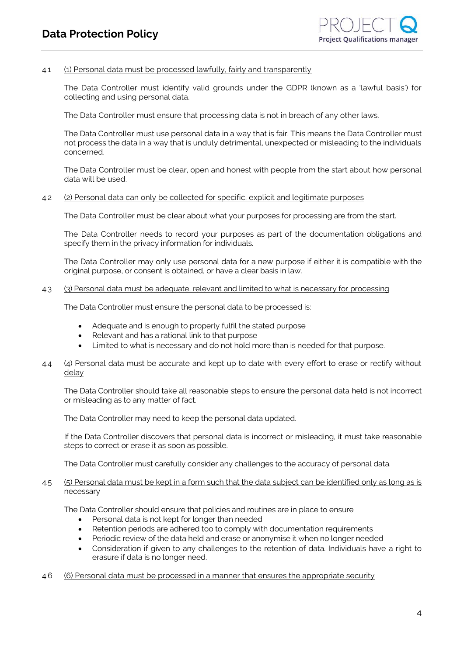## 4.1 (1) Personal data must be processed lawfully, fairly and transparently

The Data Controller must identify valid grounds under the GDPR (known as a 'lawful basis') for collecting and using personal data.

The Data Controller must ensure that processing data is not in breach of any other laws.

The Data Controller must use personal data in a way that is fair. This means the Data Controller must not process the data in a way that is unduly detrimental, unexpected or misleading to the individuals concerned.

The Data Controller must be clear, open and honest with people from the start about how personal data will be used.

#### 4.2 (2) Personal data can only be collected for specific, explicit and legitimate purposes

The Data Controller must be clear about what your purposes for processing are from the start.

The Data Controller needs to record your purposes as part of the documentation obligations and specify them in the privacy information for individuals.

The Data Controller may only use personal data for a new purpose if either it is compatible with the original purpose, or consent is obtained, or have a clear basis in law.

## 4.3 (3) Personal data must be adequate, relevant and limited to what is necessary for processing

The Data Controller must ensure the personal data to be processed is:

- Adequate and is enough to properly fulfil the stated purpose
- Relevant and has a rational link to that purpose
- Limited to what is necessary and do not hold more than is needed for that purpose.

### 4.4 (4) Personal data must be accurate and kept up to date with every effort to erase or rectify without delay

The Data Controller should take all reasonable steps to ensure the personal data held is not incorrect or misleading as to any matter of fact.

The Data Controller may need to keep the personal data updated.

If the Data Controller discovers that personal data is incorrect or misleading, it must take reasonable steps to correct or erase it as soon as possible.

The Data Controller must carefully consider any challenges to the accuracy of personal data.

### 4.5 (5) Personal data must be kept in a form such that the data subject can be identified only as long as is necessary

The Data Controller should ensure that policies and routines are in place to ensure

- Personal data is not kept for longer than needed
- Retention periods are adhered too to comply with documentation requirements
- Periodic review of the data held and erase or anonymise it when no longer needed
- Consideration if given to any challenges to the retention of data. Individuals have a right to erasure if data is no longer need.
- 4.6 (6) Personal data must be processed in a manner that ensures the appropriate security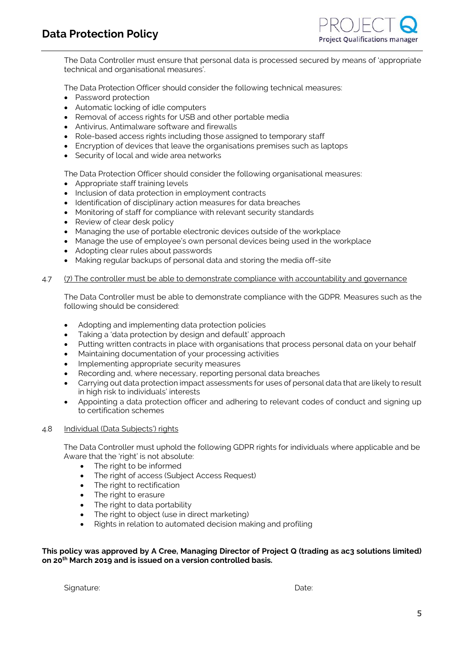

The Data Controller must ensure that personal data is processed secured by means of 'appropriate technical and organisational measures'.

The Data Protection Officer should consider the following technical measures:

- Password protection
- Automatic locking of idle computers
- Removal of access rights for USB and other portable media
- Antivirus, Antimalware software and firewalls
- Role-based access rights including those assigned to temporary staff
- Encryption of devices that leave the organisations premises such as laptops
- Security of local and wide area networks

The Data Protection Officer should consider the following organisational measures:

- Appropriate staff training levels
- Inclusion of data protection in employment contracts
- Identification of disciplinary action measures for data breaches
- Monitoring of staff for compliance with relevant security standards
- Review of clear desk policy
- Managing the use of portable electronic devices outside of the workplace
- Manage the use of employee's own personal devices being used in the workplace
- Adopting clear rules about passwords
- Making regular backups of personal data and storing the media off-site

#### 4.7 (7) The controller must be able to demonstrate compliance with accountability and governance

The Data Controller must be able to demonstrate compliance with the GDPR. Measures such as the following should be considered:

- Adopting and implementing data protection policies
- Taking a 'data protection by design and default' approach
- Putting written contracts in place with organisations that process personal data on your behalf
- Maintaining documentation of your processing activities
- Implementing appropriate security measures
- Recording and, where necessary, reporting personal data breaches
- Carrying out data protection impact assessments for uses of personal data that are likely to result in high risk to individuals' interests
- Appointing a data protection officer and adhering to relevant codes of conduct and signing up to certification schemes

#### 4.8 Individual (Data Subjects') rights

The Data Controller must uphold the following GDPR rights for individuals where applicable and be Aware that the 'right' is not absolute:

- The right to be informed
- The right of access (Subject Access Request)
- The right to rectification
- The right to erasure
- The right to data portability
- The right to object (use in direct marketing)
- Rights in relation to automated decision making and profiling

### **This policy was approved by A Cree, Managing Director of Project Q (trading as ac3 solutions limited) on 20th March 2019 and is issued on a version controlled basis.**

Signature: Date: